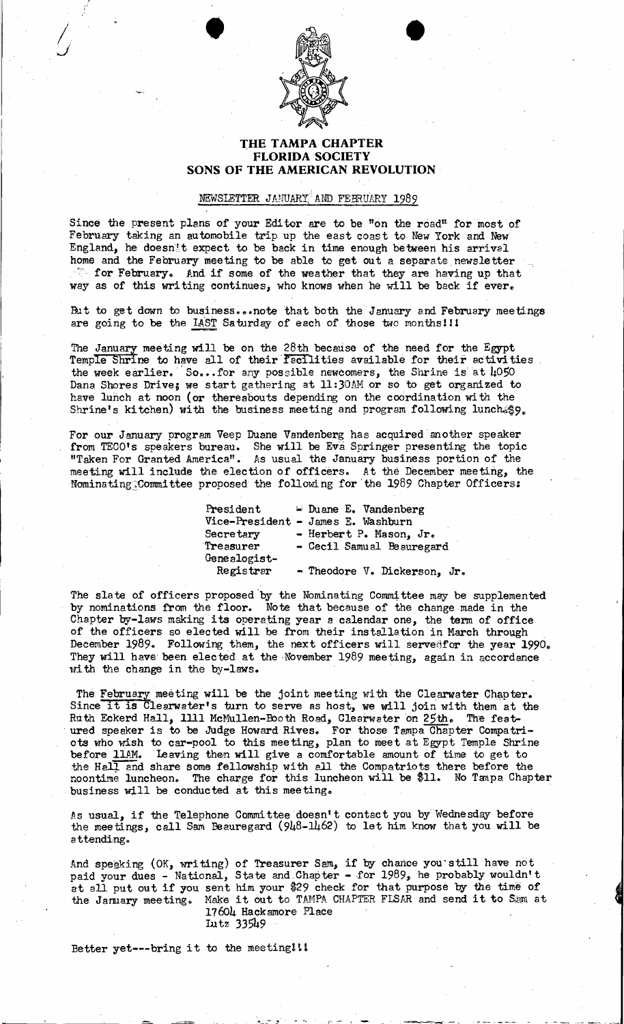

.<br>S

# **THE TAMPA CHAPTER FLORIDA SOCIETY SONS OF THE AMERICAN REVOLUTION**

## NEWSLETTER JANUARY; AND FEBRUARY 1989

Since the present plans of your Editor are to be "on the road" for most of February taking an automobile trip up the east coast to New York and New England, he doesn't expect to be back in time enough between his arrivel home and the February meeting to be able to get out a separate newsletter  $\tilde{\phantom{a}}$  for February. And if some of the weather that they are having up that way as of this writing continues, who knows when he will be back if ever.

But to get down to business... note that both the January and February meetings are going to be the LAST Saturday of each of those two months! 11

The January meeting will be on the  $28th$  because of the need for the Egypt<br>Temple Shrine to have all of their facilities available for their activities. the week earlier. So...for any possible newcomers, the Shrine is at  $\mu$ 050 Dana Shores Drive; we start gathering at 11:30AM or so to get organized to have lunch at noon (or thereabouts depending on the coordination with the Shrine's kitchen) with the business meeting and program following lunch \$9.

For our January program Veep Duane Vandenberg has acquired' another speaker from TECO's speakers bureau. She will be Eva Springer presenting the topic "Taken For Granted America". As usual the January business portion of the meeting will include the election of officers. At the December meeting, the Nominating. Committee proposed the following for the 1989 Chapter Officers:

> **President**  $\cong$  Duane E. Vandenberg Vice-President - James E. Washburn<br>Secretary - Herbert P. Mason. Secretary - Herbert P. Mason, Jr.<br>Treasurer - Cecil Samual Beaurega - Cecil Samual Beauregard Genealogist-<br>Registrar - Theodore V. Dickerson, Jr.

The slate of officers proposed by the Nominating Committee may be supplemented by nominations from the floor. Note that because of the change made in the Chapter by-laws making its operating year a calendar one, the term of office of the officers so elected will be from their installation in March through December 1989. Following them, the next officers will servedfor the year 1990. They will have been elected at the November 1989 meeting, again in accordance vith the change in the by-laws.

The February meeting will be the joint meeting with the Clearwater Chapter. Since it is Clearwater's turn to serve as host, we will join with them at the Ruth Eckerd Hall, 1111 McMullen-Booth Road, Clearwater on 25th. The feat . ured speaker is to be Judge Howard Rives. For those Tampa Chapter Compatriots who wish to car-pool to this meeting, plan to meet at Egypt Temple Shrine before llAM. Leaving then will give a comfortable amount of time to get to the Hall and share some fellowship with all the Compatriots there before the noontime luncheon. The charge for this luncheon will be \$11. No Tanpa Chapter business will be conducted at this meeting.

As usual, if the Telephone Committee doesn't contact you by Wednesday before the meetings, call Sam Beauregard (948-1462) to let him know that you will be attending.

And speaking (OK, writing) of Treasurer Sam, if by chance you still have not paid your dues - National, State and Chapter - for 1989, he probably wouldn't at all put out if you sent him your \$29 check for that purpose by the time of at all put out if you sent mim your  $\frac{1}{2}$  check for that purpose by the time of the January meeting. Make it out to TAMPA CHAPTER FLSAR and send it to Sam at 17604 Hackamore Place I.utz 33549

 $\tilde{\mathcal{C}}$  :

Better yet---bring it to the meeting!!!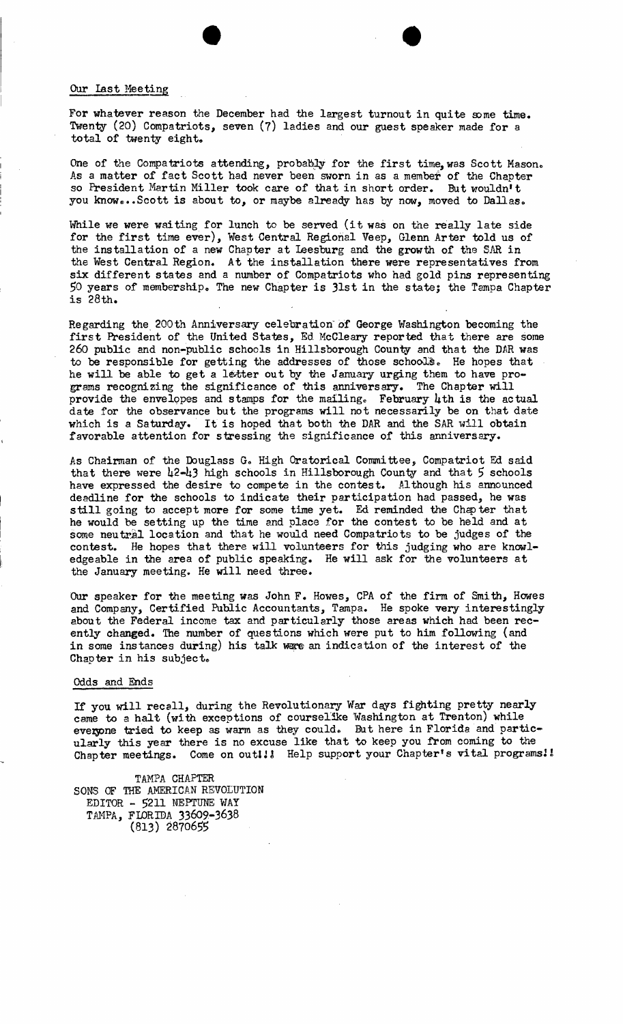### Our last Heeting

For whatever reason the December had the largest turnout in quite some time. Twenty (20) Compatriots, seven (7) ladies and our guest speaker made for a total of twenty eight.

•

One of the Compatriots attending, probably for the first time, was Scott Mason. As a matter of fact Scott had never been sworn in as a membef of the Chapter so President Martin Miller took care of that in short order. But wouldn't you know...Scott is about to, or maybe already has by now, moved to Dallas.

While we were waiting for lunch to be served (it was on the really late side for the first time ever), West Central Regional Veep, Glenn Arter told us of the installation of a new Chapter at leesburg and the growth of the SAR in the West Central Region. At the installation there were representatives from six different states and a number of Compatriots who had gold pins representing 50 years of membership. The new Chapter is 31st in the state; the Tampa Chapter is 28th.

Regarding the 200th Anniversary celebration of George Washington becoming the first President of the United States, Ed McCleary reported that there are some 260 public and non-public schools in Hillsborough County and that the DAR was to be responsible for getting the addresses of those schools. He hopes that he will be able to get a letter out by the January urging them to have programs recognizing the significance of this anniversary. The Chapter will provide the envelopes and stamps for the mailing. February  $\mu$ th is the actual date for the observance but the programs will not necessarily be on that date which is a Saturday. It is hoped that both the DAR and the SAR will obtain favorable attention for stressing the significance of this anniversary.

As Chairman of the Douglass G. High Oratorical Committee, Compatriot Ed said that there were  $\frac{12-13}{10}$  high schools in Hillsborough County and that 5 schools have expressed the desire to compete in the contest. *Al*though his announced deadline for the schools to indicate their participation had passed, he was still going to accept more for some time yet. Ed reminded the Chap ter that he would be setting up the time and place for the contest to be held and at some neutral location and that he would need Compatriots to be judges of the contest. He hopes that there will volunteers for this judging who are knowledgeable in the area of public speaking. He will ask for the volunteers at the January meeting. He will need three.

OUr speaker for the meeting was John F. Howes, CPA of the firm of Smith, Howes and Company, Certified Public Accountants, Tampa. He spoke very interestingly about the Federal income tax and particularly those areas which had been recently changed. The number of questions which were put to him following (and in some instances during) his talk ware an indication of the interest of the Chapter in his subject.

#### Odds and Ends

If you will recall, during the Revolutionary War days fighting pretty nearly came to a halt (with exceptions of courselike Washington at Trenton) while everone tried to keep as warm as they could. But here in Florida and particularly this year there is no excuse like that to keep you from coming to the Chapter meetings. Come on out!!! Help support your Chapter's vital programs!!

TAMPA CHAPTER SONS OF THE AMERICAN REVOLUTION EDITOR - 5211 NEPTUNE WAY TAMPA, FLORIDA 33609-3638 (813) 2870655